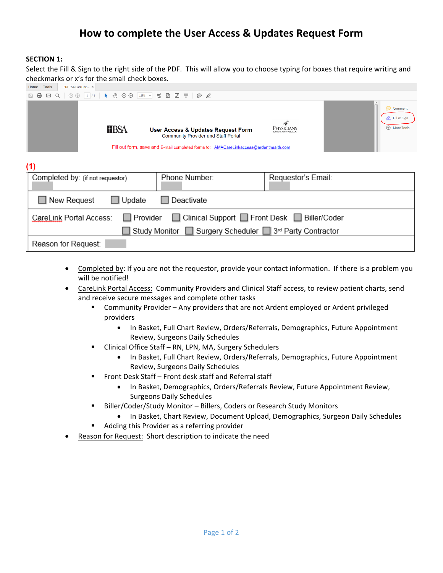## **How to complete the User Access & Updates Request Form**

## **SECTION 1:**

Select the Fill & Sign to the right side of the PDF. This will allow you to choose typing for boxes that require writing and checkmarks or x's for the small check boxes.

| PDF BSA CareLink  x<br>Tools<br>Home                                                                                      |              |                                                                                                                                                                           |                    |                                                       |  |  |  |
|---------------------------------------------------------------------------------------------------------------------------|--------------|---------------------------------------------------------------------------------------------------------------------------------------------------------------------------|--------------------|-------------------------------------------------------|--|--|--|
| $\circledcirc$ $\circledcirc$ $\circledcirc$ $\circledcirc$ $\circledcirc$ $\bullet$ $\circledcirc$<br>$\boxtimes$ Q<br>⊜ |              | $\Theta$ $\Theta$ 125% $\cdot$ 5 8 8 $\mathbb{F}$ $\mathbb{F}$ $\Theta$ $\mathscr{L}$                                                                                     |                    |                                                       |  |  |  |
|                                                                                                                           | <b>TIBSA</b> | User Access & Updates Request Form<br><b>Community Provider and Staff Portal</b><br>Fill out form, save and E-mail completed forms to: AMACareLinkaccess@ardenthealth.com | PHYSICIANS         | ⊝<br>Comment<br>2. Fill & Sign<br><b>E</b> More Tools |  |  |  |
| (1)                                                                                                                       |              |                                                                                                                                                                           |                    |                                                       |  |  |  |
| Completed by: (if not requestor)                                                                                          |              | Phone Number:                                                                                                                                                             | Requestor's Email: |                                                       |  |  |  |
| $\Box$ New Request<br>Deactivate<br>Update                                                                                |              |                                                                                                                                                                           |                    |                                                       |  |  |  |
| □ Clinical Support □ Front Desk □ Biller/Coder<br>Provider<br>CareLink Portal Access:                                     |              |                                                                                                                                                                           |                    |                                                       |  |  |  |
| Study Monitor Surgery Scheduler 3 <sup>rd</sup> Party Contractor                                                          |              |                                                                                                                                                                           |                    |                                                       |  |  |  |
| Reason for Request:                                                                                                       |              |                                                                                                                                                                           |                    |                                                       |  |  |  |

- Completed by: If you are not the requestor, provide your contact information. If there is a problem you will be notified!
- CareLink Portal Access: Community Providers and Clinical Staff access, to review patient charts, send and receive secure messages and complete other tasks
	- Community Provider Any providers that are not Ardent employed or Ardent privileged providers
		- In Basket, Full Chart Review, Orders/Referrals, Demographics, Future Appointment Review, Surgeons Daily Schedules
	- Clinical Office Staff RN, LPN, MA, Surgery Schedulers
		- In Basket, Full Chart Review, Orders/Referrals, Demographics, Future Appointment Review, Surgeons Daily Schedules
	- Front Desk Staff Front desk staff and Referral staff
		- In Basket, Demographics, Orders/Referrals Review, Future Appointment Review, Surgeons Daily Schedules
	- Biller/Coder/Study Monitor Billers, Coders or Research Study Monitors
		- In Basket, Chart Review, Document Upload, Demographics, Surgeon Daily Schedules
	- Adding this Provider as a referring provider
- Reason for Request: Short description to indicate the need